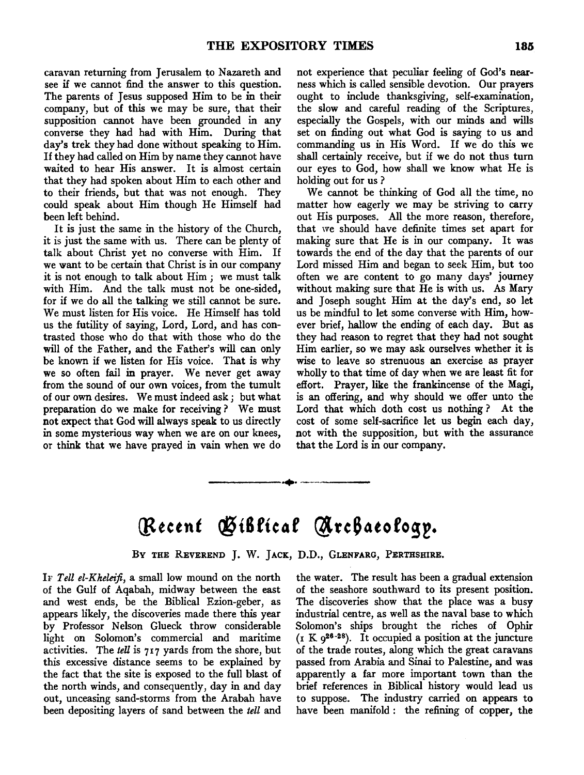caravan returning from Jerusalem to Nazareth and see if we cannot find the answer to this question. The parents of Jesus supposed Him to be in their company, but of this we may be sure, that their supposition cannot have been grounded in any converse they had had with Him. During that day's trek they had done without speaking to Him. If they had called on Him by name they cannot have waited to hear His answer. It is almost certain that they had spoken about Him to each other and to their friends, but that was not enough. They could speak about Him though He Himself had been left behind.

It is just the same in the history of the Church, it is just the same with us. There can be plenty of talk about Christ yet no converse with Him. If we want to be certain that Christ is in our company it is not enough to talk about Him ; we must talk with Him. And the talk must not be one-sided, for if we do all the talking we still cannot be sure. We must listen for His voice. He Himself has told us the futility of saying, Lord, Lord, and has contrasted those who do that with those who do the will of the Father, and the Father's will can only be known if we listen for His voice. That is why we so often fail in prayer. We never get away from the sound of our own voices, from the tumult of our own desires. We must indeed ask; but what preparation do we make for receiving? We must not expect that God will always speak to us directly in some mysterious way when we are on our knees, or think that we have prayed in vain when we do not experience that peculiar feeling of God's nearness which is called sensible devotion. Our prayers ought to include thanksgiving, self-examination, the slow and careful reading of the Scriptures, especially the Gospels, with our minds and wills set on finding out what God is saying to us and commanding us in His Word. If we do this we shall certainly receive, but if we do not thus turn our eyes to God, how shall we know what He is holding out for us ?

We cannot be thinking of God all the time, no matter how eagerly we may be striving to carry out His purposes. All the more reason, therefore, that we should have definite times set apart for making sure that He is in our company. It was towards the end of the day that the parents of our Lord missed Him and began to seek Him, but too often we are content to go many days' journey without making sure that He is with us. As Mary and Joseph sought Him at the day's end, so let us be mindful to let some converse with Him, however brief, hallow the ending of each day. But as they had reason to regret that they had not sought Him earlier, so we may ask ourselves whether it is wise to leave so strenuous an exercise as prayer wholly to that time of day when we are least fit for effort. Prayer, like the frankincense of the Magi, is an offering, and why should we offer unto the Lord that which doth cost us nothing ? At the cost of some self-sacrifice let us begin each day, not with the supposition, but with the assurance that the Lord is in our company.

## Recent Giblical Archaeology.

------... -- ----

BY THE REVEREND J. W. JACK, D.D., GLENFARG, PERTHSHIRE.

IF *Tell el-Kheleifi,* a small low mound on the north of the Gulf of Aqabah, midway between the east and west ends, be the Biblical Ezion-geber, as appears likely, the discoveries made there this year by Professor Nelson Glueck throw considerable light on Solomon's commercial and maritime activities. The *tell* is 717 yards from the shore, but this excessive distance seems to be explained by the fact that the site is exposed to the full blast of the north winds, and consequently, day in and day out, unceasing sand-storms from the Arabah have been depositing layers of sand between the *tell* and

the water. The result has been a gradual extension of the seashore southward to its present position. The discoveries show that the place was a busy industrial centre, as well as the naval base to which Solomon's ships brought the riches of Ophir  $(x K 9^{26-28})$ . It occupied a position at the juncture of the trade routes, along which the great caravans passed from Arabia and Sinai to Palestine, and was apparently a far more important town than the brief references in Biblical history would lead us to suppose. The industry carried on appears to have been manifold : the refining of copper, the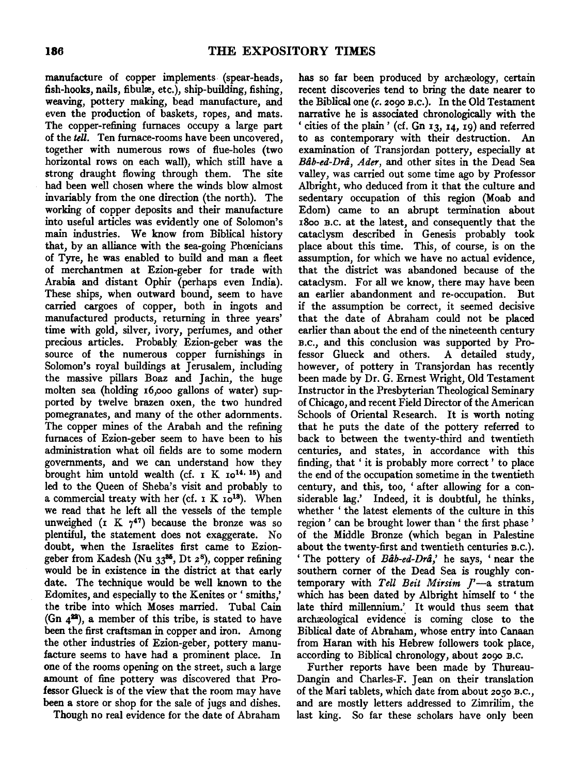manufacture of copper implements (spear-heads, fish-hooks, nails, fibulæ, etc.), ship-building, fishing, weaving, pottery making, bead manufacture, and even the production of baskets, ropes, and mats. The copper-refining furnaces occupy a large part of the *tell.* Ten furnace-rooms have been uncovered, together with numerous rows of flue-holes (two horizontal rows on each wall), which still have a strong draught flowing through them. The site had been well chosen where the winds blow almost invariably from the one direction (the north). The working of copper deposits and their manufacture into useful articles was evidently one of Solomon's main industries. We know from Biblical history that, by an alliance with the sea-going Phoenicians of Tyre, he was enabled to build and man a fleet of merchantmen at Ezion-geber for trade with Arabia and distant Ophir (perhaps even India). These ships, when outward bound, seem to have carried cargoes of copper, both in ingots and manufactured products, returning in three years' time with gold, silver, ivory, perfumes, and other precious articles. Probably. Ezion-geber was the source of the numerous copper furnishings in Solomon's royal buildings at Jerusalem, including the massive pillars Boaz and Jachin, the huge molten sea (holding I6,ooo gallons of water) supported by twelve brazen oxen, the two hundred pomegranates, and many of the other adornments. The copper mines of the Arabah and the refining furnaces of Ezion-geber seem to have been to his administration what oil fields are to some modem governments, and we can understand how they brought him untold wealth (cf.  $I K I0^{14.15}$ ) and led to the Queen of Sheba's visit and probably to a commercial treaty with her (cf.  $I K Io<sup>13</sup>$ ). When we read that he left all the vessels of the temple unweighed (I K  $7^{47}$ ) because the bronze was so plentiful, the statement does not exaggerate. No doubt, when the Israelites first came to Eziongeber from Kadesh (Nu  $33^{85}$ , Dt  $2^8$ ), copper refining would be in existence in the district at that early date. The technique would be well known to the Edomites, and especially to the Kenites or ' smiths,' the tribe into which Moses married. Tubal Cain (Gn  $4^{22}$ ), a member of this tribe, is stated to have been the first craftsman in copper and iron. Among the other industries of Ezion-geber, pottery manufacture seems to have had a prominent place. In one of the rooms opening on the street, such a large amount of fine pottery was discovered that Professor Glueck is of the view that the room may have been a store or shop for the sale of jugs and dishes.

Though no real evidence for the date of Abraham

has so far been produced by archæology, certain recent discoveries tend to bring the date nearer to the Biblical one *(c.* 2090 B.c.). In the Old Testament narrative he is associated chronologically with the 'cities of the plain' (cf. Gn I3, I4, I9) and referred to as contemporary with their destruction. An examination of Transjordan pottery, especially at *Bab-ed-Dra, Ader,* and other sites in the Dead Sea valley, was carried out some time ago by Professor Albright, who deduced from it that the culture and sedentary occupation of this region (Moab and Edom) came to an abrupt termination about I8oo B.C. at the latest, and consequently that the cataclysm described in Genesis probably took place about this time. This, of course, is on the assumption, for which we have no actual evidence, that the district was abandoned because of the cataclysm. For all we know, there may have been an earlier abandonment and re-occupation. But if the assumption be correct, it seemed decisive that the date of Abraham could not be placed earlier than about the end of the nineteenth century B.c., and this conclusion was supported by Professor Glueck and others. A detailed study, however, of pottery in Transjordan has recently been made by Dr. G. Emest Wright, Old Testament Instructor in the Presbyterian Theological Seminary of Chicago, and recent Field Director of the American Schools of Oriental Research. It is worth noting that he puts the date of the pottery referred to back to between the twenty-third and twentieth centuries, and states, in accordance with this finding, that ' it is probably more correct ' to place the end of the occupation sometime in the twentieth century, and this, too, ' after allowing for a considerable lag.' Indeed, it is doubtful, he thinks, whether ' the latest elements of the culture in this region ' can be brought lower than ' the first phase ' of the Middle Bronze (which began in Palestine about the twenty-first and twentieth centuries B.c.). 'The pottery of *Bab-ed-Dra,'* he says, 'near the southern corner of the Dead Sea is roughly contemporary with *Tell Beit Mirsim J'*-a stratum which has been dated by Albright himself to ' the late third millennium.' It would thus seem that archæological evidence is coming close to the Biblical date of Abraham, whose entry into Canaan from Haran with his Hebrew followers took place, according to Biblical chronology, about 2090 B.c.

Further reports have been made by Thureau-Dangin and Charles-F. Jean on their translation of the Mari tablets, which date from about 2050 B.c., and are mostly letters addressed to Zimrilim, the last king. So far these scholars have only been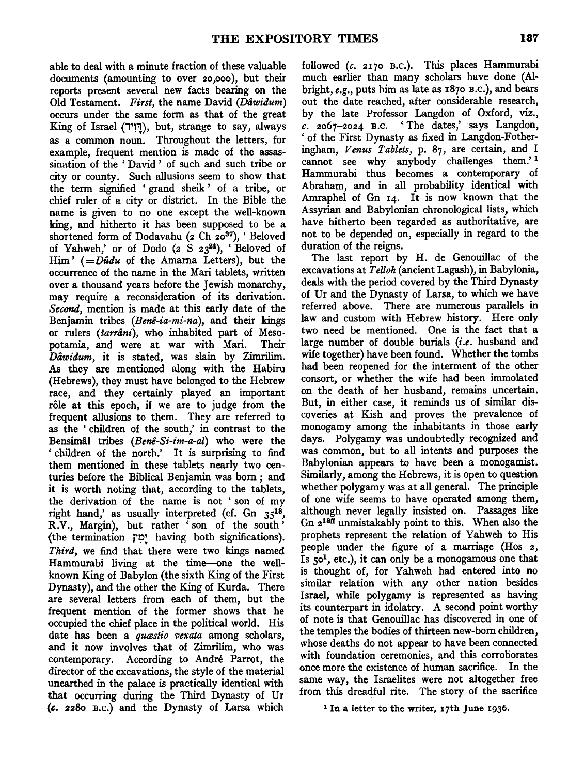able to deal with a minute fraction of these valuable documents (amounting to over 2o,ooo), but their reports present several new facts bearing on the Old Testament. *First,* the name David *(Dawidum)*  occurs under the same form as that of the great King of Israel (1~1"'!), but, strange to say, always as a common noun. Throughout the letters, for example, frequent mention is made of the assassination of the ' David ' of such and such tribe or city or county. Such allusions seem to show that the term signified 'grand sheik' of a tribe, or chief ruler of a city or district. In the Bible the name is given to no one except the well-known king, and hitherto it has been supposed to be a shortened form of Dodavahu (2 Ch 20<sup>37</sup>), 'Beloved of Yahweh,' or of Dodo (2  $S$  23<sup>24</sup>), 'Beloved of Him'  $( =D\hat{u}du$  of the Amarna Letters), but the occurrence of the name in the Mari tablets, written over a thousand years before the Jewish monarchy, may require a reconsideration of its derivation. *Second,* mention is made at this early date of the Benjamin tribes *(Benê-ia-mi-na)*, and their kings or rulers *(farrani),* who inhabited part of Mesopotamia, and were at war with Mari. Their *Dawidum,* it is stated, was slain by Zimrilim. As they are mentioned along with the Habiru (Hebrews), they must have belonged to the Hebrew race, and they certainly played an important rôle at this epoch, if we are to judge from the frequent allusions to them. They are referred to as the ' children of the south,' in contrast to the Bensimal tribes *(Bene-Si-im-a-al)* who were the ' children of the north.' It is surprising to find them mentioned in these tablets nearly two centuries before the Biblical Benjamin was born; and it is worth noting that, according to the tablets, the derivation of the name is not ' son of my right hand,' as usually interpreted (cf. Gn  $35^{18}$ ) R.V., Margin), but rather ' son of the south' (the termination יָמָה having both significations). *Third,* we find that there were two kings named Hammurabi living at the time-one the wellknown King of Babylon (the sixth King of the First Dynasty), and the other the King of Kurda. There are several letters from each of them, but the frequent mention of the former shows that he occupied the chief place in the political world. His date has been a *quastio vexata* among scholars, and it now involves that of Zimrilim, who was contemporary. According to Andre Parrot, the director of the excavations, the style of the material unearthed in the palace is practically identical with that occurring during the Third Dynasty of Ur *(c.* 228o B.c.) and the Dynasty of Larsa which

followed (c. 2170 B.c.). This places Hammurabi much earlier than many scholars have done (AIbright, *e.g.,* puts him as late as 187o B.c.), and bears out the date reached, after considerable research, by the late Professor Langdon of Oxford, viz., *c.* 2067-2024 B.c. ' The dates,' says Langdon, 'of the First Dynasty as fixed in Langdon-Fotheringham, *Venus Tablets,* p. 87, are certain, and I cannot see why anybody challenges them.' <sup>1</sup> Hammurabi thus becomes a contemporary of Abraham, and in all probability identical with Amraphel of Gn 14. It is now known that the Assyrian and Babylonian chronological lists, which have hitherto been regarded as authoritative, are not to be depended on, especially in regard to the duration of the reigns.

The last report by H. de Genouillac of the excavations at *Telloh* (ancient Lagash), in Babylonia, deals with the period covered by the Third Dynasty of Ur and the Dynasty of Larsa, to which we have referred above. There are numerous parallels in law and custom with Hebrew history. Here only two need be mentioned. One is the fact that a large number of double burials *(i.e.* husband and wife together) have been found. Whether the tombs had been reopened for the interment of the other consort, or whether the wife had been immolated on the death of her husband, remains uncertain. But, in either case, it reminds us of similar discoveries at Kish and proves the prevalence of monogamy among the inhabitants in those early days. Polygamy was undoubtedly recognized and was common, but to all intents and purposes the Babylonian appears to have been a monogamist. Similarly, among the Hebrews, it is open to question whether polygamy was at all general. The principle of one wife seems to have operated among them, although never legally insisted on. Passages like Gn  $2^{18\text{ft}}$  unmistakably point to this. When also the prophets represent the relation of Yahweh to His people under the figure of a marriage (Hos 2, Is  $50<sup>1</sup>$ , etc.), it can only be a monogamous one that is thought of, for Yahweh had entered into no similar relation with any other nation besides Israel, while polygamy is represented as having its counterpart in idolatry. A second point worthy of note is that Genouillac has discovered in one of the temples the bodies of thirteen new-born children, whose deaths do not appear to have been connected with foundation ceremonies, and this corroborates once more the existence of human sacrifice. In the same way, the Israelites were not altogether free from this dreadful rite. The story of the sacrifice

1 In a letter to the writer, 17th June 1936.